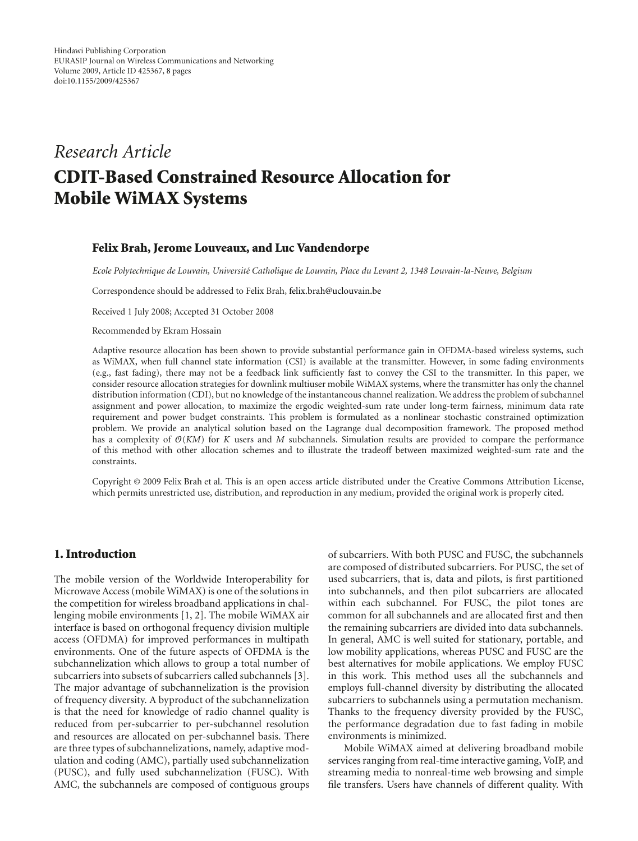# *Research Article* **CDIT-Based Constrained Resource Allocation for Mobile WiMAX Systems**

### **Felix Brah, Jerome Louveaux, and Luc Vandendorpe**

*Ecole Polytechnique de Louvain, Universit´e Catholique de Louvain, Place du Levant 2, 1348 Louvain-la-Neuve, Belgium*

Correspondence should be addressed to Felix Brah, felix.brah@uclouvain.be

Received 1 July 2008; Accepted 31 October 2008

Recommended by Ekram Hossain

Adaptive resource allocation has been shown to provide substantial performance gain in OFDMA-based wireless systems, such as WiMAX, when full channel state information (CSI) is available at the transmitter. However, in some fading environments (e.g., fast fading), there may not be a feedback link sufficiently fast to convey the CSI to the transmitter. In this paper, we consider resource allocation strategies for downlink multiuser mobile WiMAX systems, where the transmitter has only the channel distribution information (CDI), but no knowledge of the instantaneous channel realization. We address the problem of subchannel assignment and power allocation, to maximize the ergodic weighted-sum rate under long-term fairness, minimum data rate requirement and power budget constraints. This problem is formulated as a nonlinear stochastic constrained optimization problem. We provide an analytical solution based on the Lagrange dual decomposition framework. The proposed method has a complexity of  $O(KM)$  for *K* users and *M* subchannels. Simulation results are provided to compare the performance of this method with other allocation schemes and to illustrate the tradeoff between maximized weighted-sum rate and the constraints.

Copyright © 2009 Felix Brah et al. This is an open access article distributed under the Creative Commons Attribution License, which permits unrestricted use, distribution, and reproduction in any medium, provided the original work is properly cited.

# **1. Introduction**

The mobile version of the Worldwide Interoperability for Microwave Access (mobile WiMAX) is one of the solutions in the competition for wireless broadband applications in challenging mobile environments [1, 2]. The mobile WiMAX air interface is based on orthogonal frequency division multiple access (OFDMA) for improved performances in multipath environments. One of the future aspects of OFDMA is the subchannelization which allows to group a total number of subcarriers into subsets of subcarriers called subchannels [3]. The major advantage of subchannelization is the provision of frequency diversity. A byproduct of the subchannelization is that the need for knowledge of radio channel quality is reduced from per-subcarrier to per-subchannel resolution and resources are allocated on per-subchannel basis. There are three types of subchannelizations, namely, adaptive modulation and coding (AMC), partially used subchannelization (PUSC), and fully used subchannelization (FUSC). With AMC, the subchannels are composed of contiguous groups

of subcarriers. With both PUSC and FUSC, the subchannels are composed of distributed subcarriers. For PUSC, the set of used subcarriers, that is, data and pilots, is first partitioned into subchannels, and then pilot subcarriers are allocated within each subchannel. For FUSC, the pilot tones are common for all subchannels and are allocated first and then the remaining subcarriers are divided into data subchannels. In general, AMC is well suited for stationary, portable, and low mobility applications, whereas PUSC and FUSC are the best alternatives for mobile applications. We employ FUSC in this work. This method uses all the subchannels and employs full-channel diversity by distributing the allocated subcarriers to subchannels using a permutation mechanism. Thanks to the frequency diversity provided by the FUSC, the performance degradation due to fast fading in mobile environments is minimized.

Mobile WiMAX aimed at delivering broadband mobile services ranging from real-time interactive gaming, VoIP, and streaming media to nonreal-time web browsing and simple file transfers. Users have channels of different quality. With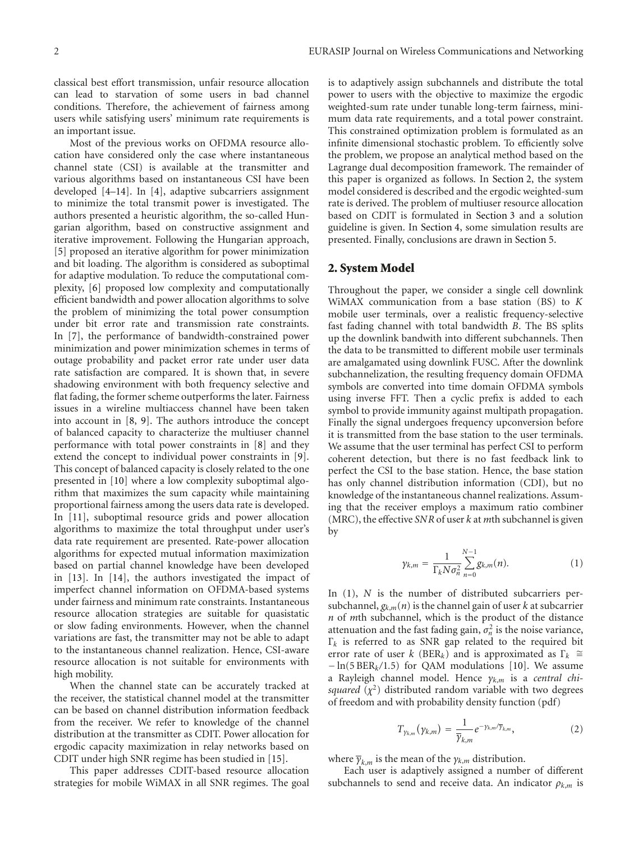classical best effort transmission, unfair resource allocation can lead to starvation of some users in bad channel conditions. Therefore, the achievement of fairness among users while satisfying users' minimum rate requirements is an important issue.

Most of the previous works on OFDMA resource allocation have considered only the case where instantaneous channel state (CSI) is available at the transmitter and various algorithms based on instantaneous CSI have been developed [4–14]. In [4], adaptive subcarriers assignment to minimize the total transmit power is investigated. The authors presented a heuristic algorithm, the so-called Hungarian algorithm, based on constructive assignment and iterative improvement. Following the Hungarian approach, [5] proposed an iterative algorithm for power minimization and bit loading. The algorithm is considered as suboptimal for adaptive modulation. To reduce the computational complexity, [6] proposed low complexity and computationally efficient bandwidth and power allocation algorithms to solve the problem of minimizing the total power consumption under bit error rate and transmission rate constraints. In [7], the performance of bandwidth-constrained power minimization and power minimization schemes in terms of outage probability and packet error rate under user data rate satisfaction are compared. It is shown that, in severe shadowing environment with both frequency selective and flat fading, the former scheme outperforms the later. Fairness issues in a wireline multiaccess channel have been taken into account in [8, 9]. The authors introduce the concept of balanced capacity to characterize the multiuser channel performance with total power constraints in [8] and they extend the concept to individual power constraints in [9]. This concept of balanced capacity is closely related to the one presented in [10] where a low complexity suboptimal algorithm that maximizes the sum capacity while maintaining proportional fairness among the users data rate is developed. In [11], suboptimal resource grids and power allocation algorithms to maximize the total throughput under user's data rate requirement are presented. Rate-power allocation algorithms for expected mutual information maximization based on partial channel knowledge have been developed in [13]. In [14], the authors investigated the impact of imperfect channel information on OFDMA-based systems under fairness and minimum rate constraints. Instantaneous resource allocation strategies are suitable for quasistatic or slow fading environments. However, when the channel variations are fast, the transmitter may not be able to adapt to the instantaneous channel realization. Hence, CSI-aware resource allocation is not suitable for environments with high mobility.

When the channel state can be accurately tracked at the receiver, the statistical channel model at the transmitter can be based on channel distribution information feedback from the receiver. We refer to knowledge of the channel distribution at the transmitter as CDIT. Power allocation for ergodic capacity maximization in relay networks based on CDIT under high SNR regime has been studied in [15].

This paper addresses CDIT-based resource allocation strategies for mobile WiMAX in all SNR regimes. The goal is to adaptively assign subchannels and distribute the total power to users with the objective to maximize the ergodic weighted-sum rate under tunable long-term fairness, minimum data rate requirements, and a total power constraint. This constrained optimization problem is formulated as an infinite dimensional stochastic problem. To efficiently solve the problem, we propose an analytical method based on the Lagrange dual decomposition framework. The remainder of this paper is organized as follows. In Section 2, the system model considered is described and the ergodic weighted-sum rate is derived. The problem of multiuser resource allocation based on CDIT is formulated in Section 3 and a solution guideline is given. In Section 4, some simulation results are presented. Finally, conclusions are drawn in Section 5.

#### **2. System Model**

Throughout the paper, we consider a single cell downlink WiMAX communication from a base station (BS) to *K* mobile user terminals, over a realistic frequency-selective fast fading channel with total bandwidth *B*. The BS splits up the downlink bandwith into different subchannels. Then the data to be transmitted to different mobile user terminals are amalgamated using downlink FUSC. After the downlink subchannelization, the resulting frequency domain OFDMA symbols are converted into time domain OFDMA symbols using inverse FFT. Then a cyclic prefix is added to each symbol to provide immunity against multipath propagation. Finally the signal undergoes frequency upconversion before it is transmitted from the base station to the user terminals. We assume that the user terminal has perfect CSI to perform coherent detection, but there is no fast feedback link to perfect the CSI to the base station. Hence, the base station has only channel distribution information (CDI), but no knowledge of the instantaneous channel realizations. Assuming that the receiver employs a maximum ratio combiner (MRC), the effective *SNR* of user *k* at *m*th subchannel is given by

$$
\gamma_{k,m} = \frac{1}{\Gamma_k N \sigma_n^2} \sum_{n=0}^{N-1} g_{k,m}(n). \tag{1}
$$

In (1), *N* is the number of distributed subcarriers persubchannel,  $g_{k,m}(n)$  is the channel gain of user *k* at subcarrier *n* of *m*th subchannel, which is the product of the distance attenuation and the fast fading gain,  $\sigma_n^2$  is the noise variance, Γ*<sup>k</sup>* is referred to as SNR gap related to the required bit error rate of user *k* (BER<sub>*k*</sub>) and is approximated as  $\Gamma_k \cong$ − ln(5 BER*k/*1*.*5) for QAM modulations [10]. We assume a Rayleigh channel model. Hence *γk*,*<sup>m</sup>* is a *central chisquared*  $(\chi^2)$  distributed random variable with two degrees of freedom and with probability density function (pdf)

$$
T_{\gamma_{k,m}}(\gamma_{k,m}) = \frac{1}{\overline{\gamma}_{k,m}} e^{-\gamma_{k,m}/\overline{\gamma}_{k,m}}, \qquad (2)
$$

where  $\overline{\gamma}_{k,m}$  is the mean of the  $\gamma_{k,m}$  distribution.

Each user is adaptively assigned a number of different subchannels to send and receive data. An indicator *ρk*,*<sup>m</sup>* is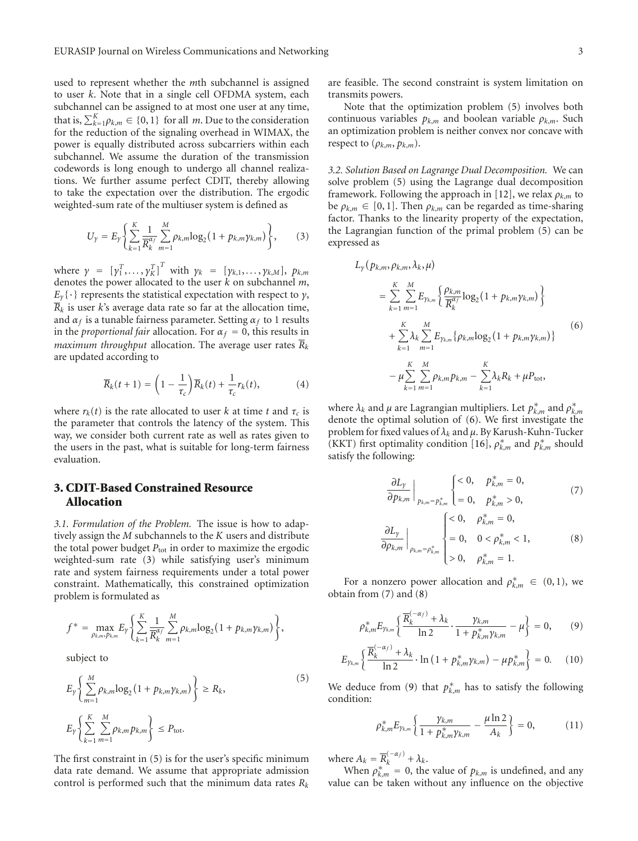used to represent whether the *m*th subchannel is assigned to user *k*. Note that in a single cell OFDMA system, each subchannel can be assigned to at most one user at any time, that is,  $\sum_{k=1}^{K} \rho_{k,m} \in \{0,1\}$  for all *m*. Due to the consideration for the reduction of the signaling overhead in WIMAX, the power is equally distributed across subcarriers within each subchannel. We assume the duration of the transmission codewords is long enough to undergo all channel realizations. We further assume perfect CDIT, thereby allowing to take the expectation over the distribution. The ergodic weighted-sum rate of the multiuser system is defined as

$$
U_{\gamma} = E_{\gamma} \left\{ \sum_{k=1}^{K} \frac{1}{\overline{R}_{k}^{\alpha_{f}}} \sum_{m=1}^{M} \rho_{k,m} \log_{2} (1 + p_{k,m} \gamma_{k,m}) \right\},
$$
 (3)

where  $\gamma = [\gamma_1^T, \dots, \gamma_K^T]^T$  with  $\gamma_k = [\gamma_{k,1}, \dots, \gamma_{k,M}],$   $p_{k,m}$ denotes the power allocated to the user *k* on subchannel *m*,  $E_{\gamma}$ {·} represents the statistical expectation with respect to *γ*,  $\overline{R}_k$  is user *k*'s average data rate so far at the allocation time, and  $\alpha_f$  is a tunable fairness parameter. Setting  $\alpha_f$  to 1 results in the *proportional fair* allocation. For  $\alpha_f = 0$ , this results in *maximum throughput* allocation. The average user rates  $\overline{R}_k$ are updated according to

$$
\overline{R}_k(t+1) = \left(1 - \frac{1}{\tau_c}\right) \overline{R}_k(t) + \frac{1}{\tau_c} r_k(t),\tag{4}
$$

where  $r_k(t)$  is the rate allocated to user *k* at time *t* and  $\tau_c$  is the parameter that controls the latency of the system. This way, we consider both current rate as well as rates given to the users in the past, what is suitable for long-term fairness evaluation.

# **3. CDIT-Based Constrained Resource Allocation**

*3.1. Formulation of the Problem.* The issue is how to adaptively assign the *M* subchannels to the *K* users and distribute the total power budget  $P_{\text{tot}}$  in order to maximize the ergodic weighted-sum rate (3) while satisfying user's minimum rate and system fairness requirements under a total power constraint. Mathematically, this constrained optimization problem is formulated as

$$
f^* = \max_{\rho_{k,m}, p_{k,m}} E_{\gamma} \left\{ \sum_{k=1}^{K} \frac{1}{\overline{R}_{k}^{\alpha_{f}}} \sum_{m=1}^{M} \rho_{k,m} \log_2 \left( 1 + p_{k,m} \gamma_{k,m} \right) \right\},\,
$$

subject to

$$
E_{\gamma} \left\{ \sum_{m=1}^{M} \rho_{k,m} \log_2 \left( 1 + p_{k,m} \gamma_{k,m} \right) \right\} \ge R_k,
$$
\n
$$
E_{\gamma} \left\{ \sum_{k=1}^{K} \sum_{m=1}^{M} \rho_{k,m} p_{k,m} \right\} \le P_{\text{tot}}.
$$
\n(5)

The first constraint in (5) is for the user's specific minimum data rate demand. We assume that appropriate admission control is performed such that the minimum data rates *Rk* are feasible. The second constraint is system limitation on transmits powers.

Note that the optimization problem (5) involves both continuous variables  $p_{k,m}$  and boolean variable  $p_{k,m}$ . Such an optimization problem is neither convex nor concave with respect to  $(\rho_{k,m}, p_{k,m})$ .

*3.2. Solution Based on Lagrange Dual Decomposition.* We can solve problem (5) using the Lagrange dual decomposition framework. Following the approach in [12], we relax  $\rho_{k,m}$  to be  $\rho_{k,m} \in [0,1]$ . Then  $\rho_{k,m}$  can be regarded as time-sharing factor. Thanks to the linearity property of the expectation, the Lagrangian function of the primal problem (5) can be expressed as

$$
L_{\gamma}(p_{k,m}, p_{k,m}, \lambda_k, \mu)
$$
  
=  $\sum_{k=1}^{K} \sum_{m=1}^{M} E_{\gamma_{k,m}} \left\{ \frac{p_{k,m}}{R_k^{\alpha_f}} \log_2 (1 + p_{k,m} \gamma_{k,m}) \right\}$   
+  $\sum_{k=1}^{K} \lambda_k \sum_{m=1}^{M} E_{\gamma_{k,m}} \left\{ \rho_{k,m} \log_2 (1 + p_{k,m} \gamma_{k,m}) \right\}$   
-  $\mu \sum_{k=1}^{K} \sum_{m=1}^{M} \rho_{k,m} p_{k,m} - \sum_{k=1}^{K} \lambda_k R_k + \mu P_{\text{tot}},$  (6)

where  $\lambda_k$  and  $\mu$  are Lagrangian multipliers. Let  $p_{k,m}^*$  and  $\rho_{k,m}^*$ denote the optimal solution of (6). We first investigate the problem for fixed values of *λk* and *μ*. By Karush-Kuhn-Tucker (KKT) first optimality condition [16],  $\rho^*_{k,m}$  and  $p^*_{k,m}$  should satisfy the following:

$$
\frac{\partial L_{\gamma}}{\partial p_{k,m}}\Big|_{p_{k,m}=p_{k,m}^*} \begin{cases} < 0, \quad p_{k,m}^* = 0, \\ = 0, \quad p_{k,m}^* > 0, \end{cases} \tag{7}
$$
\n
$$
\frac{\partial L_{\gamma}}{\partial p_{k,m}}\Big|_{p_{k,m}=p_{k,m}^*} \begin{cases} < 0, \quad p_{k,m}^* = 0, \\ = 0, \quad 0 < \rho_{k,m}^* < 1, \\ > 0, \quad p_{k,m}^* = 1. \end{cases} \tag{8}
$$

For a nonzero power allocation and  $\rho^*_{k,m} \in (0,1)$ , we obtain from (7) and (8)

$$
\rho_{k,m}^* E_{\gamma_{k,m}} \left\{ \frac{\overline{R}_k^{(-\alpha_f)} + \lambda_k}{\ln 2} \cdot \frac{\gamma_{k,m}}{1 + \rho_{k,m}^* \gamma_{k,m}} - \mu \right\} = 0, \qquad (9)
$$

$$
E_{\gamma_{k,m}} \left\{ \frac{\overline{R}_k^{(-\alpha_f)} + \lambda_k}{\ln 2} \cdot \ln \left( 1 + p_{k,m}^* \gamma_{k,m} \right) - \mu p_{k,m}^* \right\} = 0. \quad (10)
$$

We deduce from (9) that  $p_{k,m}^*$  has to satisfy the following condition:

$$
\rho_{k,m}^* E_{\gamma_{k,m}} \left\{ \frac{\gamma_{k,m}}{1 + \rho_{k,m}^* \gamma_{k,m}} - \frac{\mu \ln 2}{A_k} \right\} = 0, \quad (11)
$$

where  $A_k = \overline{R}_k^{(-\alpha_f)} + \lambda_k$ .

When  $\rho_{k,m}^* = 0$ , the value of  $p_{k,m}$  is undefined, and any value can be taken without any influence on the objective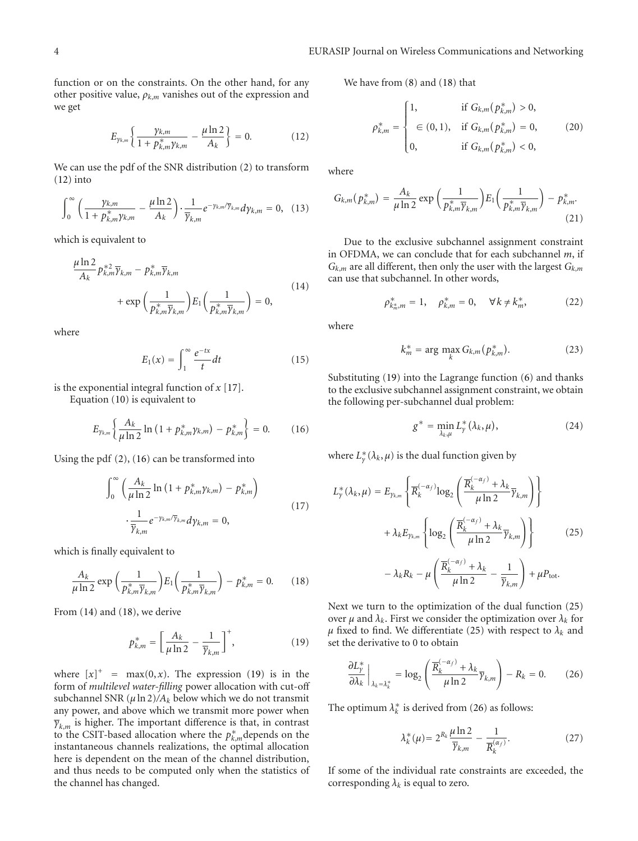function or on the constraints. On the other hand, for any other positive value,  $\rho_{k,m}$  vanishes out of the expression and we get

$$
E_{\gamma_{k,m}} \left\{ \frac{\gamma_{k,m}}{1 + p_{k,m}^* \gamma_{k,m}} - \frac{\mu \ln 2}{A_k} \right\} = 0.
$$
 (12)

We can use the pdf of the SNR distribution (2) to transform  $(12)$  into

$$
\int_0^\infty \left( \frac{\gamma_{k,m}}{1 + p_{k,m}^* \gamma_{k,m}} - \frac{\mu \ln 2}{A_k} \right) \cdot \frac{1}{\overline{\gamma}_{k,m}} e^{-\gamma_{k,m}/\overline{\gamma}_{k,m}} d\gamma_{k,m} = 0, \quad (13)
$$

which is equivalent to

$$
\frac{\mu \ln 2}{A_k} p_{k,m}^{*2} \overline{\gamma}_{k,m} - p_{k,m}^{*} \overline{\gamma}_{k,m}
$$
\n
$$
+ \exp\left(\frac{1}{p_{k,m}^{*} \overline{\gamma}_{k,m}}\right) E_1\left(\frac{1}{p_{k,m}^{*} \overline{\gamma}_{k,m}}\right) = 0,
$$
\n(14)

where

$$
E_1(x) = \int_1^{\infty} \frac{e^{-tx}}{t} dt
$$
 (15)

#### is the exponential integral function of *x* [17].

Equation (10) is equivalent to

$$
E_{\gamma_{k,m}} \left\{ \frac{A_k}{\mu \ln 2} \ln \left( 1 + p_{k,m}^* \gamma_{k,m} \right) - p_{k,m}^* \right\} = 0. \quad (16)
$$

Using the pdf (2), (16) can be transformed into

$$
\int_0^\infty \left( \frac{A_k}{\mu \ln 2} \ln \left( 1 + p_{k,m}^* \gamma_{k,m} \right) - p_{k,m}^* \right) \cdot \frac{1}{\overline{\gamma}_{k,m}} e^{-\gamma_{k,m}/\overline{\gamma}_{k,m}} d\gamma_{k,m} = 0,
$$
\n(17)

which is finally equivalent to

$$
\frac{A_k}{\mu \ln 2} \exp \left( \frac{1}{p_{k,m}^* \overline{\gamma}_{k,m}} \right) E_1 \left( \frac{1}{p_{k,m}^* \overline{\gamma}_{k,m}} \right) - p_{k,m}^* = 0. \tag{18}
$$

From (14) and (18), we derive

$$
p_{k,m}^* = \left[\frac{A_k}{\mu \ln 2} - \frac{1}{\overline{\gamma}_{k,m}}\right]^+,
$$
 (19)

where  $[x]^{+}$  = max(0, *x*). The expression (19) is in the form of *multilevel water-filling* power allocation with cut-off subchannel SNR  $(\mu \ln 2)/A_k$  below which we do not transmit any power, and above which we transmit more power when  $\bar{\gamma}_{k,m}$  is higher. The important difference is that, in contrast to the CSIT-based allocation where the  $p_{k,m}^*$  depends on the instantaneous channels realizations, the optimal allocation here is dependent on the mean of the channel distribution, and thus needs to be computed only when the statistics of the channel has changed.

We have from (8) and (18) that

$$
\rho_{k,m}^* = \begin{cases}\n1, & \text{if } G_{k,m}(p_{k,m}^*) > 0, \\
\in (0, 1), & \text{if } G_{k,m}(p_{k,m}^*) = 0, \\
0, & \text{if } G_{k,m}(p_{k,m}^*) < 0,\n\end{cases}
$$
\n(20)

where

$$
G_{k,m}(p_{k,m}^*) = \frac{A_k}{\mu \ln 2} \exp\left(\frac{1}{p_{k,m}^* \overline{\gamma}_{k,m}}\right) E_1\left(\frac{1}{p_{k,m}^* \overline{\gamma}_{k,m}}\right) - p_{k,m}^*.
$$
\n(21)

Due to the exclusive subchannel assignment constraint in OFDMA, we can conclude that for each subchannel *m*, if *Gk*,*<sup>m</sup>* are all different, then only the user with the largest *Gk*,*<sup>m</sup>* can use that subchannel. In other words,

$$
\rho_{k_m^*,m}^* = 1, \quad \rho_{k,m}^* = 0, \quad \forall k \neq k_m^*, \tag{22}
$$

where

$$
k_m^* = \arg\max_k G_{k,m}(p_{k,m}^*).
$$
 (23)

Substituting (19) into the Lagrange function (6) and thanks to the exclusive subchannel assignment constraint, we obtain the following per-subchannel dual problem:

$$
g^* = \min_{\lambda_k, \mu} L^*_{\gamma}(\lambda_k, \mu), \qquad (24)
$$

where  $L^*_{\gamma}(\lambda_k, \mu)$  is the dual function given by

$$
L_{\gamma}^{*}(\lambda_{k}, \mu) = E_{\gamma_{k,m}} \left\{ \overline{R}_{k}^{(-\alpha_{f})} \log_{2} \left( \frac{\overline{R}_{k}^{(-\alpha_{f})} + \lambda_{k}}{\mu \ln 2} \overline{\gamma}_{k,m} \right) \right\} + \lambda_{k} E_{\gamma_{k,m}} \left\{ \log_{2} \left( \frac{\overline{R}_{k}^{(-\alpha_{f})} + \lambda_{k}}{\mu \ln 2} \overline{\gamma}_{k,m} \right) \right\} - \lambda_{k} R_{k} - \mu \left( \frac{\overline{R}_{k}^{(-\alpha_{f})} + \lambda_{k}}{\mu \ln 2} - \frac{1}{\overline{\gamma}_{k,m}} \right) + \mu P_{\text{tot}}.
$$
 (25)

Next we turn to the optimization of the dual function (25) over *μ* and  $λ_k$ . First we consider the optimization over  $λ_k$  for  $μ$  fixed to find. We differentiate (25) with respect to  $λ_k$  and set the derivative to 0 to obtain

$$
\frac{\partial L_{\gamma}^{*}}{\partial \lambda_{k}}\Big|_{\lambda_{k}=\lambda_{k}^{*}} = \log_{2}\left(\frac{\overline{R}_{k}^{(-\alpha_{f})} + \lambda_{k}}{\mu \ln 2} \overline{\gamma}_{k,m}\right) - R_{k} = 0. \quad (26)
$$

The optimum  $\lambda_k^*$  is derived from (26) as follows:

$$
\lambda_k^*(\mu) = 2^{R_k} \frac{\mu \ln 2}{\overline{\gamma}_{k,m}} - \frac{1}{\overline{R}_k^{(\alpha_f)}}.
$$
 (27)

If some of the individual rate constraints are exceeded, the corresponding  $\lambda_k$  is equal to zero.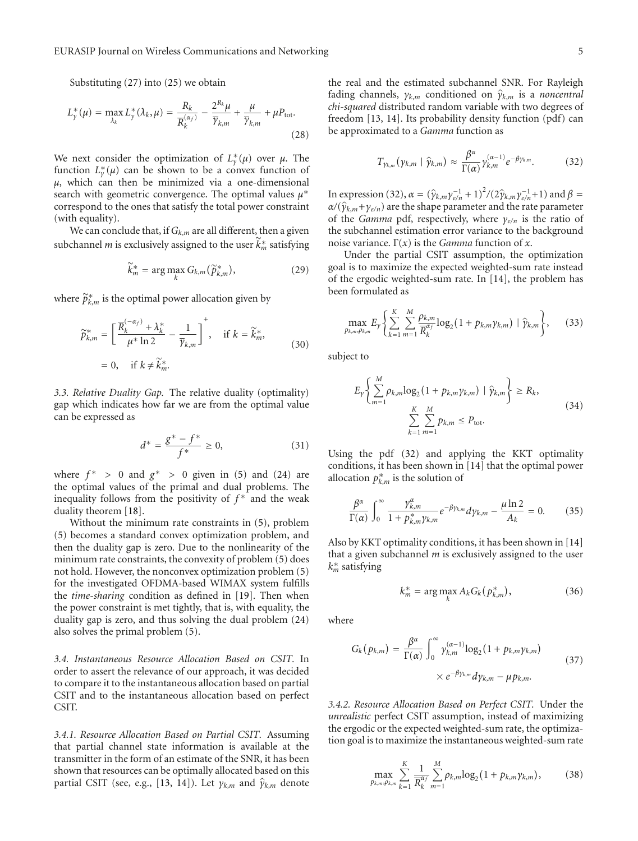Substituting (27) into (25) we obtain

$$
L_{\gamma}^{*}(\mu) = \max_{\lambda_{k}} L_{\gamma}^{*}(\lambda_{k}, \mu) = \frac{R_{k}}{\overline{R}_{k}^{(\alpha_{f})}} - \frac{2^{R_{k}}\mu}{\overline{\gamma}_{k,m}} + \frac{\mu}{\overline{\gamma}_{k,m}} + \mu P_{\text{tot}}.
$$
\n(28)

We next consider the optimization of  $L^*_{\gamma}(\mu)$  over  $\mu$ . The function  $L^*_{\gamma}(\mu)$  can be shown to be a convex function of  $μ$ , which can then be minimized via a one-dimensional search with geometric convergence. The optimal values *μ*<sup>∗</sup> correspond to the ones that satisfy the total power constraint (with equality).

We can conclude that, if  $G_{k,m}$  are all different, then a given subchannel *m* is exclusively assigned to the user *k*<sup>∗</sup> *<sup>m</sup>* satisfying

$$
\widetilde{k}_m^* = \arg\max_k G_{k,m}(\widetilde{p}_{k,m}^*),\tag{29}
$$

where  $\widetilde{p}_{k,m}^*$  is the optimal power allocation given by

$$
\widetilde{p}_{k,m}^* = \left[ \frac{\overline{R}_k^{(-\alpha_f)} + \lambda_k^*}{\mu^* \ln 2} - \frac{1}{\overline{\gamma}_{k,m}} \right]^+, \quad \text{if } k = \widetilde{k}_m^*,
$$
\n
$$
= 0, \quad \text{if } k \neq \widetilde{k}_m^*.
$$
\n(30)

*3.3. Relative Duality Gap.* The relative duality (optimality) gap which indicates how far we are from the optimal value can be expressed as

$$
d^* = \frac{g^* - f^*}{f^*} \ge 0,
$$
\n(31)

where  $f^*$  > 0 and  $g^*$  > 0 given in (5) and (24) are the optimal values of the primal and dual problems. The inequality follows from the positivity of *f* <sup>∗</sup> and the weak duality theorem [18].

Without the minimum rate constraints in (5), problem (5) becomes a standard convex optimization problem, and then the duality gap is zero. Due to the nonlinearity of the minimum rate constraints, the convexity of problem (5) does not hold. However, the nonconvex optimization problem (5) for the investigated OFDMA-based WIMAX system fulfills the *time-sharing* condition as defined in [19]. Then when the power constraint is met tightly, that is, with equality, the duality gap is zero, and thus solving the dual problem (24) also solves the primal problem (5).

*3.4. Instantaneous Resource Allocation Based on CSIT.* In order to assert the relevance of our approach, it was decided to compare it to the instantaneous allocation based on partial CSIT and to the instantaneous allocation based on perfect CSIT.

*3.4.1. Resource Allocation Based on Partial CSIT.* Assuming that partial channel state information is available at the transmitter in the form of an estimate of the SNR, it has been shown that resources can be optimally allocated based on this partial CSIT (see, e.g., [13, 14]). Let *γk*,*<sup>m</sup>* and *<sup>γ</sup><sup>k</sup>*,*<sup>m</sup>* denote

the real and the estimated subchannel SNR. For Rayleigh fading channels, *γk*,*<sup>m</sup>* conditioned on *<sup>γ</sup><sup>k</sup>*,*<sup>m</sup>* is a *noncentral chi-squared* distributed random variable with two degrees of freedom [13, 14]. Its probability density function (pdf) can be approximated to a *Gamma* function as

$$
T_{\gamma_{k,m}}(\gamma_{k,m} \mid \hat{\gamma}_{k,m}) \approx \frac{\beta^{\alpha}}{\Gamma(\alpha)} \gamma_{k,m}^{(\alpha-1)} e^{-\beta \gamma_{k,m}}.
$$
 (32)

In expression (32),  $\alpha = (\hat{\gamma}_{k,m} \gamma_{e/h}^{-1} + 1)^2 / (2 \hat{\gamma}_{k,m} \gamma_{e/h}^{-1} + 1)$  and  $\beta = \alpha / (\hat{\gamma}_{k,m} + \gamma_{e/h})$  are the shape parameter and the rate parameter  $\alpha/(\hat{\gamma}_{k,m}+\gamma_{e/n})$  are the shape parameter and the rate parameter of the *Gamma* pdf, respectively, where *γe/n* is the ratio of the subchannel estimation error variance to the background noise variance. Γ(*x*) is the *Gamma* function of *x*.

Under the partial CSIT assumption, the optimization goal is to maximize the expected weighted-sum rate instead of the ergodic weighted-sum rate. In [14], the problem has been formulated as

$$
\max_{p_{k,m},p_{k,m}} E_{\gamma} \left\{ \sum_{k=1}^{K} \sum_{m=1}^{M} \frac{\rho_{k,m}}{\overline{R}_{k}^{\alpha_{f}}} \log_2 \left( 1 + p_{k,m} \gamma_{k,m} \right) \mid \hat{\gamma}_{k,m} \right\},\qquad(33)
$$

subject to

$$
E_{\gamma} \left\{ \sum_{m=1}^{M} \rho_{k,m} \log_2 \left( 1 + p_{k,m} \gamma_{k,m} \right) \mid \hat{\gamma}_{k,m} \right\} \ge R_k, \\
\sum_{k=1}^{K} \sum_{m=1}^{M} p_{k,m} \le P_{\text{tot}}.\n\tag{34}
$$

Using the pdf (32) and applying the KKT optimality conditions, it has been shown in [14] that the optimal power allocation  $p_{k,m}^*$  is the solution of

$$
\frac{\beta^{\alpha}}{\Gamma(\alpha)} \int_0^{\infty} \frac{\gamma_{k,m}^{\alpha}}{1 + p_{k,m}^* \gamma_{k,m}} e^{-\beta \gamma_{k,m}} d\gamma_{k,m} - \frac{\mu \ln 2}{A_k} = 0.
$$
 (35)

Also by KKT optimality conditions, it has been shown in [14] that a given subchannel *m* is exclusively assigned to the user *k*∗ *<sup>m</sup>* satisfying

$$
k_m^* = \arg\max_k A_k G_k(p_{k,m}^*), \tag{36}
$$

where

$$
G_k(p_{k,m}) = \frac{\beta^{\alpha}}{\Gamma(\alpha)} \int_0^{\infty} \gamma_{k,m}^{(\alpha-1)} \log_2(1 + p_{k,m} \gamma_{k,m})
$$
  
 
$$
\times e^{-\beta \gamma_{k,m}} dy_{k,m} - \mu p_{k,m}.
$$
 (37)

*3.4.2. Resource Allocation Based on Perfect CSIT.* Under the *unrealistic* perfect CSIT assumption, instead of maximizing the ergodic or the expected weighted-sum rate, the optimization goal is to maximize the instantaneous weighted-sum rate

$$
\max_{p_{k,m},p_{k,m}} \sum_{k=1}^{K} \frac{1}{\overline{R}_{k}^{\alpha_{f}}} \sum_{m=1}^{M} \rho_{k,m} \log_2 \left( 1 + p_{k,m} \gamma_{k,m} \right), \tag{38}
$$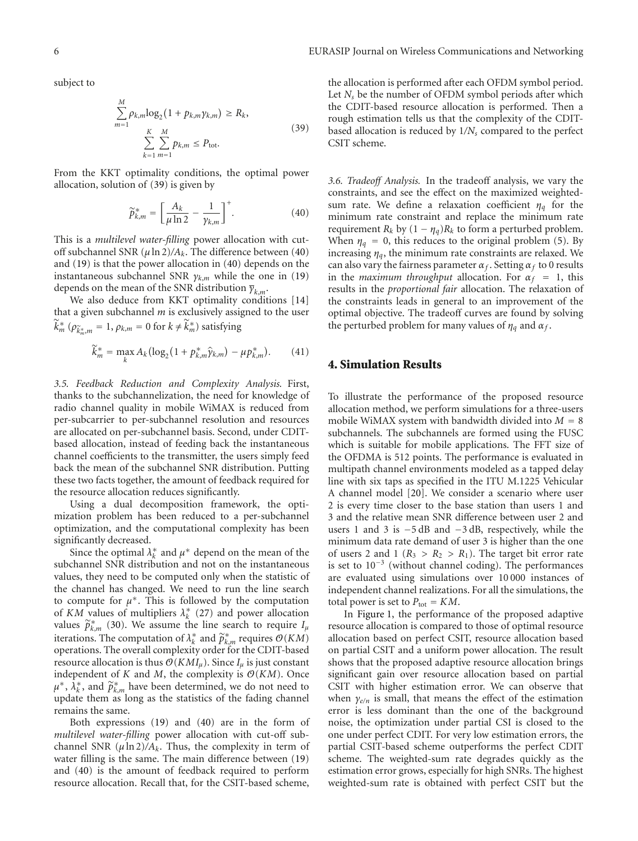$$
\sum_{m=1}^{M} \rho_{k,m} \log_2 (1 + p_{k,m} \gamma_{k,m}) \ge R_k,
$$
\n
$$
\sum_{k=1}^{K} \sum_{m=1}^{M} p_{k,m} \le P_{\text{tot}}.
$$
\n(39)

From the KKT optimality conditions, the optimal power allocation, solution of (39) is given by

$$
\widetilde{p}_{k,m}^* = \left[\frac{A_k}{\mu \ln 2} - \frac{1}{\gamma_{k,m}}\right]^+.
$$
\n(40)

This is a *multilevel water-filling* power allocation with cutoff subchannel SNR  $(\mu \ln 2)/A_k$ . The difference between (40) and (19) is that the power allocation in (40) depends on the instantaneous subchannel SNR *γk*,*<sup>m</sup>* while the one in (19) depends on the mean of the SNR distribution  $\overline{\gamma}_{k,m}$ .

We also deduce from KKT optimality conditions [14] that a given subchannel *m* is exclusively assigned to the user  $k_m^*$  ( $\rho_{\widetilde{k}_m^*,m} = 1$ ,  $\rho_{k,m} = 0$  for  $k \neq k_m^*$ ) satisfying

$$
\widetilde{k}_m^* = \max_k A_k (\log_2 (1 + p_{k,m}^* \widehat{\gamma}_{k,m}) - \mu p_{k,m}^*).
$$
 (41)

*3.5. Feedback Reduction and Complexity Analysis.* First, thanks to the subchannelization, the need for knowledge of radio channel quality in mobile WiMAX is reduced from per-subcarrier to per-subchannel resolution and resources are allocated on per-subchannel basis. Second, under CDITbased allocation, instead of feeding back the instantaneous channel coefficients to the transmitter, the users simply feed back the mean of the subchannel SNR distribution. Putting these two facts together, the amount of feedback required for the resource allocation reduces significantly.

Using a dual decomposition framework, the optimization problem has been reduced to a per-subchannel optimization, and the computational complexity has been significantly decreased.

Since the optimal  $\lambda_k^*$  and  $\mu^*$  depend on the mean of the subchannel SNR distribution and not on the instantaneous values, they need to be computed only when the statistic of the channel has changed. We need to run the line search to compute for  $\mu^*$ . This is followed by the computation of *KM* values of multipliers  $\lambda_k^*$  (27) and power allocation values  $\widetilde{p}^*_{k,m}$  (30). We assume the line search to require  $I_{\mu}$ <br>iterations The commutation of  $\lambda^*$  and  $\widetilde{\lambda}^*$  meaning  $\mathcal{P}(KM)$ iterations. The computation of  $\lambda_k^*$  and  $\widetilde{p}_{k,m}^*$  requires  $\mathcal{O}(KM)$ <br>constraints. The everyll complexity order for the CDIT based operations. The overall complexity order for the CDIT-based resource allocation is thus  $\mathcal{O}(KMI_\mu)$ . Since  $I_\mu$  is just constant independent of *K* and *M*, the complexity is  $O(KM)$ . Once  $\mu^*$ ,  $\lambda_k^*$ , and  $\widetilde{p}_{k,m}^*$  have been determined, we do not need to under them as long as the statistics of the fading channel update them as long as the statistics of the fading channel remains the same.

Both expressions (19) and (40) are in the form of *multilevel water-filling* power allocation with cut-off subchannel SNR  $(\mu \ln 2)/A_k$ . Thus, the complexity in term of water filling is the same. The main difference between (19) and (40) is the amount of feedback required to perform resource allocation. Recall that, for the CSIT-based scheme,

the allocation is performed after each OFDM symbol period. Let *N<sub>s</sub>* be the number of OFDM symbol periods after which the CDIT-based resource allocation is performed. Then a rough estimation tells us that the complexity of the CDITbased allocation is reduced by  $1/N_s$  compared to the perfect CSIT scheme.

*3.6. Tradeoff Analysis.* In the tradeoff analysis, we vary the constraints, and see the effect on the maximized weightedsum rate. We define a relaxation coefficient  $\eta_q$  for the minimum rate constraint and replace the minimum rate requirement  $R_k$  by  $(1 - \eta_q)R_k$  to form a perturbed problem. When  $\eta_q = 0$ , this reduces to the original problem (5). By increasing  $\eta_q$ , the minimum rate constraints are relaxed. We can also vary the fairness parameter  $\alpha_f$ . Setting  $\alpha_f$  to 0 results in the *maximum throughput* allocation. For  $\alpha_f = 1$ , this results in the *proportional fair* allocation. The relaxation of the constraints leads in general to an improvement of the optimal objective. The tradeoff curves are found by solving the perturbed problem for many values of  $\eta_q$  and  $\alpha_f$ .

## **4. Simulation Results**

To illustrate the performance of the proposed resource allocation method, we perform simulations for a three-users mobile WiMAX system with bandwidth divided into  $M = 8$ subchannels. The subchannels are formed using the FUSC which is suitable for mobile applications. The FFT size of the OFDMA is 512 points. The performance is evaluated in multipath channel environments modeled as a tapped delay line with six taps as specified in the ITU M.1225 Vehicular A channel model [20]. We consider a scenario where user 2 is every time closer to the base station than users 1 and 3 and the relative mean SNR difference between user 2 and users 1 and 3 is −5 dB and −3 dB, respectively, while the minimum data rate demand of user 3 is higher than the one of users 2 and 1 ( $R_3 > R_2 > R_1$ ). The target bit error rate is set to 10−<sup>3</sup> (without channel coding). The performances are evaluated using simulations over 10 000 instances of independent channel realizations. For all the simulations, the total power is set to  $P_{\text{tot}} = KM$ .

In Figure 1, the performance of the proposed adaptive resource allocation is compared to those of optimal resource allocation based on perfect CSIT, resource allocation based on partial CSIT and a uniform power allocation. The result shows that the proposed adaptive resource allocation brings significant gain over resource allocation based on partial CSIT with higher estimation error. We can observe that when  $\gamma_{e/n}$  is small, that means the effect of the estimation error is less dominant than the one of the background noise, the optimization under partial CSI is closed to the one under perfect CDIT. For very low estimation errors, the partial CSIT-based scheme outperforms the perfect CDIT scheme. The weighted-sum rate degrades quickly as the estimation error grows, especially for high SNRs. The highest weighted-sum rate is obtained with perfect CSIT but the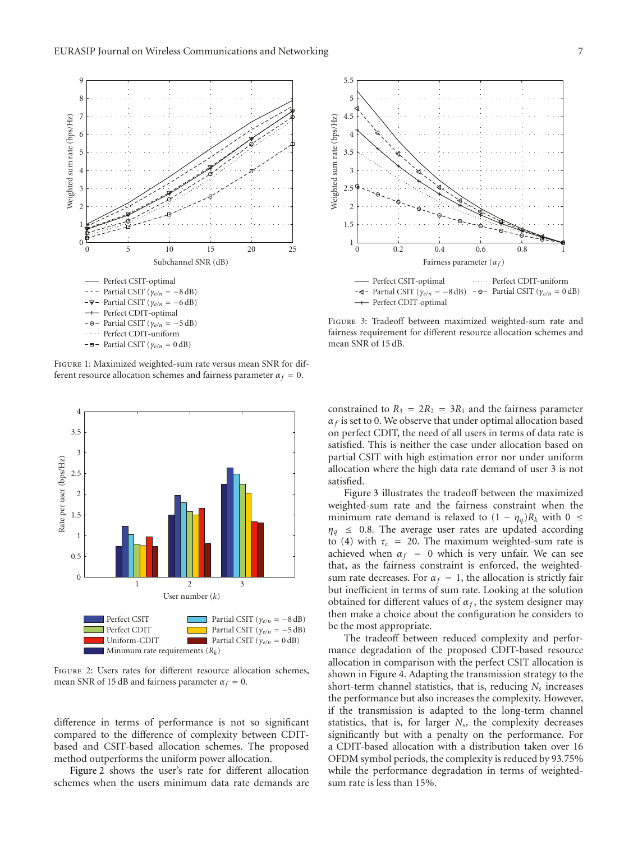

Figure 1: Maximized weighted-sum rate versus mean SNR for different resource allocation schemes and fairness parameter  $\alpha_f = 0$ .



Figure 2: Users rates for different resource allocation schemes, mean SNR of 15 dB and fairness parameter  $\alpha_f = 0$ .

difference in terms of performance is not so significant compared to the difference of complexity between CDITbased and CSIT-based allocation schemes. The proposed method outperforms the uniform power allocation.

Figure 2 shows the user's rate for different allocation schemes when the users minimum data rate demands are



Figure 3: Tradeoff between maximized weighted-sum rate and fairness requirement for different resource allocation schemes and mean SNR of 15 dB.

constrained to  $R_3 = 2R_2 = 3R_1$  and the fairness parameter  $\alpha_f$  is set to 0. We observe that under optimal allocation based on perfect CDIT, the need of all users in terms of data rate is satisfied. This is neither the case under allocation based on partial CSIT with high estimation error nor under uniform allocation where the high data rate demand of user 3 is not satisfied.

Figure 3 illustrates the tradeoff between the maximized weighted-sum rate and the fairness constraint when the minimum rate demand is relaxed to  $(1 - \eta_q)R_k$  with  $0 \leq$  $\eta_q \leq 0.8$ *.* The average user rates are updated according to (4) with  $\tau_c$  = 20. The maximum weighted-sum rate is achieved when  $\alpha_f = 0$  which is very unfair. We can see that, as the fairness constraint is enforced, the weightedsum rate decreases. For  $\alpha_f = 1$ , the allocation is strictly fair but inefficient in terms of sum rate. Looking at the solution obtained for different values of  $\alpha_f$ , the system designer may then make a choice about the configuration he considers to be the most appropriate.

The tradeoff between reduced complexity and performance degradation of the proposed CDIT-based resource allocation in comparison with the perfect CSIT allocation is shown in Figure 4. Adapting the transmission strategy to the short-term channel statistics, that is, reducing N<sub>s</sub> increases the performance but also increases the complexity. However, if the transmission is adapted to the long-term channel statistics, that is, for larger  $N_s$ , the complexity decreases significantly but with a penalty on the performance. For a CDIT-based allocation with a distribution taken over 16 OFDM symbol periods, the complexity is reduced by 93*.*75% while the performance degradation in terms of weightedsum rate is less than 15%.